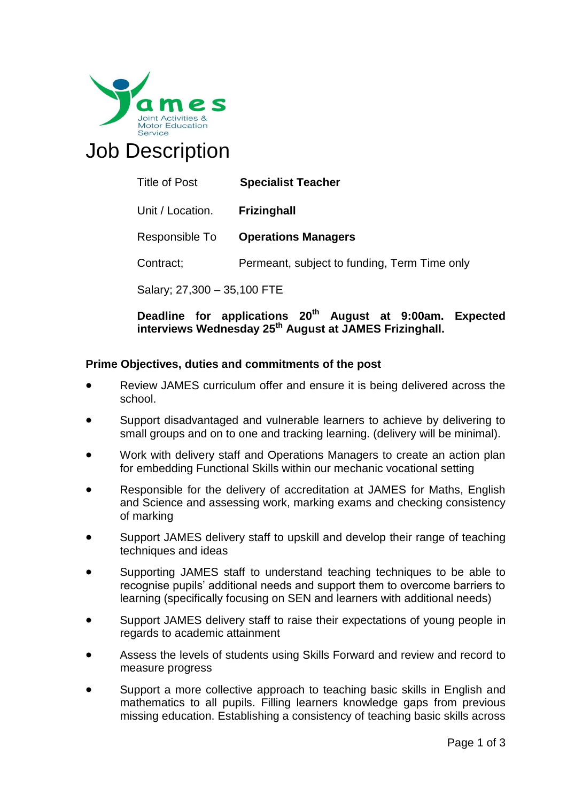

# Job Description

| Title of Post | <b>Specialist Teacher</b> |
|---------------|---------------------------|
|               |                           |

Unit / Location. **Frizinghall** 

Responsible To **Operations Managers** 

Contract; **Permeant, subject to funding, Term Time only** 

Salary; 27,300 – 35,100 FTE

## **Deadline for applications 20 th August at 9:00am. Expected interviews Wednesday 25th August at JAMES Frizinghall.**

## **Prime Objectives, duties and commitments of the post**

- Review JAMES curriculum offer and ensure it is being delivered across the school.
- Support disadvantaged and vulnerable learners to achieve by delivering to small groups and on to one and tracking learning. (delivery will be minimal).
- Work with delivery staff and Operations Managers to create an action plan for embedding Functional Skills within our mechanic vocational setting
- Responsible for the delivery of accreditation at JAMES for Maths, English and Science and assessing work, marking exams and checking consistency of marking
- Support JAMES delivery staff to upskill and develop their range of teaching techniques and ideas
- Supporting JAMES staff to understand teaching techniques to be able to recognise pupils' additional needs and support them to overcome barriers to learning (specifically focusing on SEN and learners with additional needs)
- Support JAMES delivery staff to raise their expectations of young people in regards to academic attainment
- Assess the levels of students using Skills Forward and review and record to measure progress
- Support a more collective approach to teaching basic skills in English and mathematics to all pupils. Filling learners knowledge gaps from previous missing education. Establishing a consistency of teaching basic skills across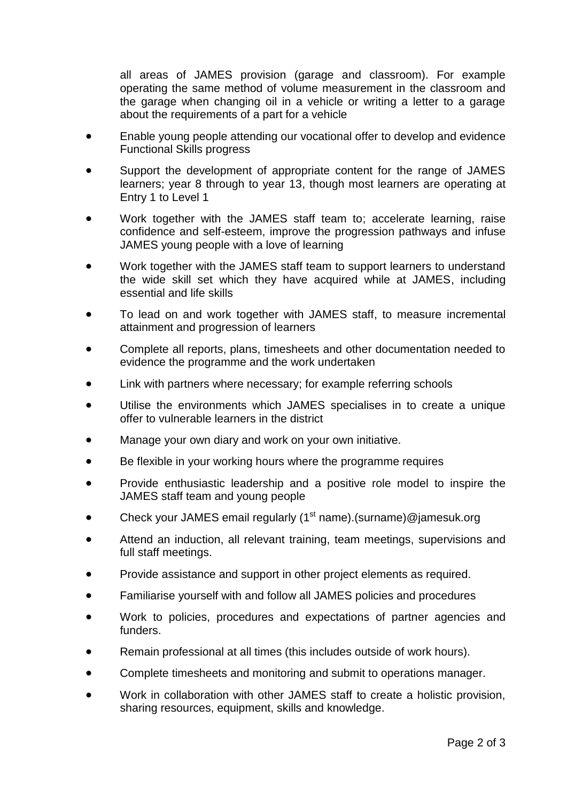all areas of JAMES provision (garage and classroom). For example operating the same method of volume measurement in the classroom and the garage when changing oil in a vehicle or writing a letter to a garage about the requirements of a part for a vehicle

- Enable young people attending our vocational offer to develop and evidence Functional Skills progress
- Support the development of appropriate content for the range of JAMES learners; year 8 through to year 13, though most learners are operating at Entry 1 to Level 1
- Work together with the JAMES staff team to; accelerate learning, raise confidence and self-esteem, improve the progression pathways and infuse JAMES young people with a love of learning
- Work together with the JAMES staff team to support learners to understand the wide skill set which they have acquired while at JAMES, including essential and life skills
- To lead on and work together with JAMES staff, to measure incremental attainment and progression of learners
- Complete all reports, plans, timesheets and other documentation needed to evidence the programme and the work undertaken
- Link with partners where necessary; for example referring schools
- Utilise the environments which JAMES specialises in to create a unique offer to vulnerable learners in the district
- Manage your own diary and work on your own initiative.
- Be flexible in your working hours where the programme requires
- Provide enthusiastic leadership and a positive role model to inspire the JAMES staff team and young people
- Check your JAMES email regularly ( $1<sup>st</sup>$  name).(surname)@jamesuk.org
- Attend an induction, all relevant training, team meetings, supervisions and full staff meetings.
- Provide assistance and support in other project elements as required.
- Familiarise yourself with and follow all JAMES policies and procedures
- Work to policies, procedures and expectations of partner agencies and funders.
- Remain professional at all times (this includes outside of work hours).
- Complete timesheets and monitoring and submit to operations manager.
- Work in collaboration with other JAMES staff to create a holistic provision, sharing resources, equipment, skills and knowledge.